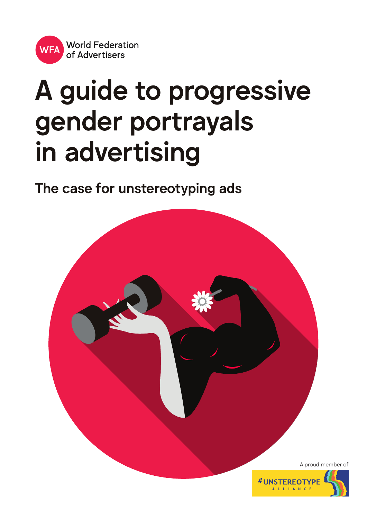

# A guide to progressive gender portrayals in advertising

The case for unstereotyping ads

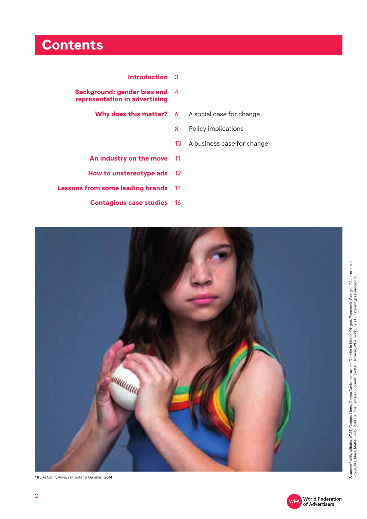## **Contents**

- **Introduction** 3
- **Background: gender bias and** 4 **representation in advertising**
	- **Why does this matter?** 6
- A social case for change
- Policy implications 8
- A business case for change 10
- **An industry on the move** 11
- **How to unstereotype ads** 12
- **Lessons from some leading brands** 14
	- **Contagious case studies** 16



"#LikeAGirl", Always (Procter & Gamble), 2014



Sources: 1 ANA, Alibaba, AT&T, Cannes Lions, Geena Davis Institute on Gender in Media, Diageo, Facebook, Google, IPA, Interpublic Sources: í ANA, Alibaba, AT&T, Cannes Lions, Geena Davis Institute on Gender in Media, Diageo, Facebook, Google, IPA, Interpublic<br>Group, J&J, Mars, Mattel, P&G, Publicis, The Female Quotient, Twitter, Unilever, WFA, WPP; <sup></sup> Group, J&J, Mars, Mattel, P&G, Publicis, The Female Quotient, Twitter, Unilever, WFA, WPP; 2 Visit unstereotypealliance.org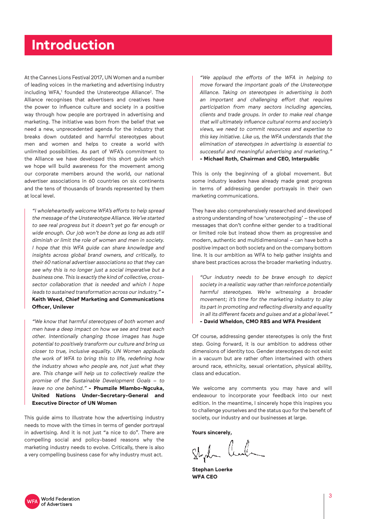### **Introduction**

At the Cannes Lions Festival 2017, UN Women and a number of leading voices in the marketing and advertising industry including WFA,1 founded the Unstereotype Alliance2 . The Alliance recognises that advertisers and creatives have the power to influence culture and society in a positive way through how people are portrayed in advertising and marketing. The initiative was born from the belief that we need a new, unprecedented agenda for the industry that breaks down outdated and harmful stereotypes about men and women and helps to create a world with unlimited possibilities. As part of WFA's commitment to the Alliance we have developed this short guide which we hope will build awareness for the movement among our corporate members around the world, our national advertiser associations in 60 countries on six continents and the tens of thousands of brands represented by them at local level.

"I wholeheartedly welcome WFA's efforts to help spread the message of the Unstereotype Alliance. We've started to see real progress but it doesn't yet go far enough or wide enough. Our job won't be done as long as ads still diminish or limit the role of women and men in society. I hope that this WFA guide can share knowledge and insights across global brand owners, and critically, to their 60 national advertiser associations so that they can see why this is no longer just a social imperative but a business one. This is exactly the kind of collective, crosssector collaboration that is needed and which I hope leads to sustained transformation across our industry." **- Keith Weed, Chief Marketing and Communications Officer, Unilever**

"We know that harmful stereotypes of both women and men have a deep impact on how we see and treat each other. Intentionally changing those images has huge potential to positively transform our culture and bring us closer to true, inclusive equality. UN Women applauds the work of WFA to bring this to life, redefining how the industry shows who people are, not just what they are. This change will help us to collectively realize the promise of the Sustainable Development Goals – to leave no one behind." **- Phumzile Mlambo-Ngcuka, United Nations Under-Secretary-General and Executive Director of UN Women**

This guide aims to illustrate how the advertising industry needs to move with the times in terms of gender portrayal in advertising. And it is not just "a nice to do". There are compelling social and policy-based reasons why the marketing industry needs to evolve. Critically, there is also a very compelling business case for why industry must act.

"We applaud the efforts of the WFA in helping to move forward the important goals of the Unstereotype Alliance. Taking on stereotypes in advertising is both an important and challenging effort that requires participation from many sectors including agencies, clients and trade groups. In order to make real change that will ultimately influence cultural norms and society's views, we need to commit resources and expertise to this key initiative. Like us, the WFA understands that the elimination of stereotypes in advertising is essential to successful and meaningful advertising and marketing." **- Michael Roth, Chairman and CEO, Interpublic**

This is only the beginning of a global movement. But some industry leaders have already made great progress in terms of addressing gender portrayals in their own marketing communications.

They have also comprehensively researched and developed a strong understanding of how 'unstereotyping' – the use of messages that don't confine either gender to a traditional or limited role but instead show them as progressive and modern, authentic and multidimensional – can have both a positive impact on both society and on the company bottom line. It is our ambition as WFA to help gather insights and share best practices across the broader marketing industry.

"Our industry needs to be brave enough to depict society in a realistic way rather than reinforce potentially harmful stereotypes. We're witnessing a broader movement; it's time for the marketing industry to play its part in promoting and reflecting diversity and equality in all its different facets and guises and at a global level." **- David Wheldon, CMO RBS and WFA President**

Of course, addressing gender stereotypes is only the first step. Going forward, it is our ambition to address other dimensions of identity too. Gender stereotypes do not exist in a vacuum but are rather often intertwined with others around race, ethnicity, sexual orientation, physical ability, class and education.

We welcome any comments you may have and will endeavour to incorporate your feedback into our next edition. In the meantime, I sincerely hope this inspires you to challenge yourselves and the status quo for the benefit of society, our industry and our businesses at large.

**Yours sincerely,** 

Style Cul

**Stephan Loerke WFA CEO**

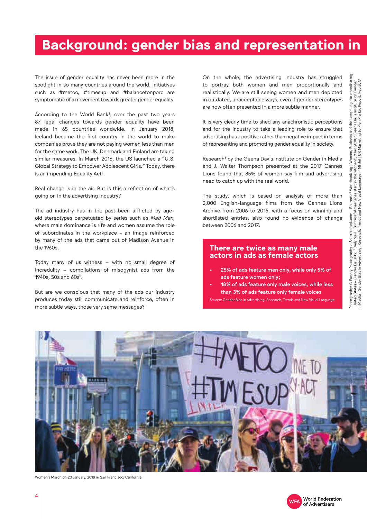## **Background: gender bias and representation in**

The issue of gender equality has never been more in the spotlight in so many countries around the world. Initiatives such as #metoo, #timesup and #balancetonporc are symptomatic of a movement towards greater gender equality.

According to the World Bank<sup>3</sup>, over the past two years 87 legal changes towards gender equality have been made in 65 countries worldwide. In January 2018, Iceland became the first country in the world to make companies prove they are not paying women less than men for the same work. The UK, Denmark and Finland are taking similar measures. In March 2016, the US launched a "U.S. Global Strategy to Empower Adolescent Girls." Today, there is an impending Equality Act<sup>4</sup>.

Real change is in the air. But is this a reflection of what's going on in the advertising industry?

The ad industry has in the past been afflicted by ageold stereotypes perpetuated by series such as Mad Men, where male dominance is rife and women assume the role of subordinates in the workplace - an image reinforced by many of the ads that came out of Madison Avenue in the 1960s.

Today many of us witness – with no small degree of incredulity – compilations of misogynist ads from the 1940s, 50s and 60s<sup>5</sup>.

But are we conscious that many of the ads our industry produces today still communicate and reinforce, often in more subtle ways, those very same messages?

On the whole, the advertising industry has struggled to portray both women and men proportionally and realistically. We are still seeing women and men depicted in outdated, unacceptable ways, even if gender stereotypes are now often presented in a more subtle manner.

It is very clearly time to shed any anachronistic perceptions and for the industry to take a leading role to ensure that advertising has a positive rather than negative impact in terms of representing and promoting gender equality in society.

Research<sup>6</sup> by the Geena Davis Institute on Gender in Media and J. Walter Thompson presented at the 2017 Cannes Lions found that 85% of women say film and advertising need to catch up with the real world.

The study, which is based on analysis of more than 2,000 English-language films from the Cannes Lions Archive from 2006 to 2016, with a focus on winning and shortlisted entries, also found no evidence of change between 2006 and 2017.

#### **There are twice as many male actors in ads as female actors**

- 25% of ads feature men only, while only 5% of ads feature women only;
- 18% of ads feature only male voices, while less than 3% of ads feature only female voices

Source: Gender Bias in Advertising. Research, Trends and New Visual Language



Women's March on 20 January, 2018 in San Francisco, California

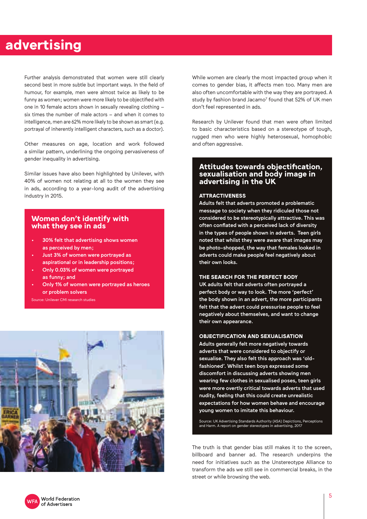### **advertising**

Further analysis demonstrated that women were still clearly second best in more subtle but important ways. In the field of humour, for example, men were almost twice as likely to be funny as women; women were more likely to be objectified with one in 10 female actors shown in sexually revealing clothing – six times the number of male actors – and when it comes to intelligence, men are 62% more likely to be shown as smart (e.g. portrayal of inherently intelligent characters, such as a doctor).

Other measures on age, location and work followed a similar pattern, underlining the ongoing pervasiveness of gender inequality in advertising.

Similar issues have also been highlighted by Unilever, with 40% of women not relating at all to the women they see in ads, according to a year-long audit of the advertising industry in 2015.

#### **Women don't identify with what they see in ads**

- 30% felt that advertising shows women as perceived by men;
- Just 3% of women were portrayed as aspirational or in leadership positions;
- Only 0.03% of women were portrayed as funny; and
- Only 1% of women were portrayed as heroes or problem solvers

Source: Unilever CMI research studies



While women are clearly the most impacted group when it comes to gender bias, it affects men too. Many men are also often uncomfortable with the way they are portrayed. A study by fashion brand Jacamo<sup>7</sup> found that 52% of UK men don't feel represented in ads.

Research by Unilever found that men were often limited to basic characteristics based on a stereotype of tough, rugged men who were highly heterosexual, homophobic and often aggressive.

#### **Attitudes towards objectification, sexualisation and body image in advertising in the UK**

#### **ATTRACTIVENESS**

Adults felt that adverts promoted a problematic message to society when they ridiculed those not considered to be stereotypically attractive. This was often conflated with a perceived lack of diversity in the types of people shown in adverts. Teen girls noted that whilst they were aware that images may be photo-shopped, the way that females looked in adverts could make people feel negatively about their own looks.

#### **THE SEARCH FOR THE PERFECT BODY**

UK adults felt that adverts often portrayed a perfect body or way to look. The more 'perfect' the body shown in an advert, the more participants felt that the advert could pressurise people to feel negatively about themselves, and want to change their own appearance.

#### **OBJECTIFICATION AND SEXUALISATION**

Adults generally felt more negatively towards adverts that were considered to objectify or sexualise. They also felt this approach was 'oldfashioned'. Whilst teen boys expressed some discomfort in discussing adverts showing men wearing few clothes in sexualised poses, teen girls were more overtly critical towards adverts that used nudity, feeling that this could create unrealistic expectations for how women behave and encourage young women to imitate this behaviour.

Source: UK Advertising Standards Authority (ASA) Depictions, Perceptions and Harm. A report on gender stereotypes in advertising, 2017

The truth is that gender bias still makes it to the screen, billboard and banner ad. The research underpins the need for initiatives such as the Unstereotype Alliance to transform the ads we still see in commercial breaks, in the street or while browsing the web.

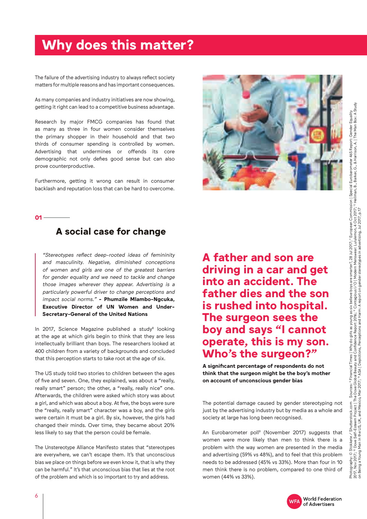## **Why does this matter?**

The failure of the advertising industry to always reflect society matters for multiple reasons and has important consequences.

As many companies and industry initiatives are now showing, getting it right can lead to a competitive business advantage.

Research by major FMCG companies has found that as many as three in four women consider themselves the primary shopper in their household and that two thirds of consumer spending is controlled by women. Advertising that undermines or offends its core demographic not only defies good sense but can also prove counterproductive.

Furthermore, getting it wrong can result in consumer backlash and reputation loss that can be hard to overcome.



#### $01 -$

### **A social case for change**

"Stereotypes reflect deep-rooted ideas of femininity and masculinity. Negative, diminished conceptions of women and girls are one of the greatest barriers for gender equality and we need to tackle and change those images wherever they appear. Advertising is a particularly powerful driver to change perceptions and impact social norms." **- Phumzile Mlambo-Ngcuka, Executive Director of UN Women and Under-Secretary-General of the United Nations**

In 2017, Science Magazine published a study $^8$  looking at the age at which girls begin to think that they are less intellectually brilliant than boys. The researchers looked at 400 children from a variety of backgrounds and concluded that this perception starts to take root at the age of six.

The US study told two stories to children between the ages of five and seven. One, they explained, was about a "really, really smart" person; the other, a "really, really nice" one. Afterwards, the children were asked which story was about a girl, and which was about a boy. At five, the boys were sure the "really, really smart" character was a boy, and the girls were certain it must be a girl. By six, however, the girls had changed their minds. Over time, they became about 20% less likely to say that the person could be female.

The Unstereotype Alliance Manifesto states that "stereotypes are everywhere, we can't escape them. It's that unconscious bias we place on things before we even know it, that is why they can be harmful." It's that unconscious bias that lies at the root of the problem and which is so important to try and address.

**A father and son are driving in a car and get into an accident. The father dies and the son is rushed into hospital. The surgeon sees the boy and says "I cannot operate, this is my son. Who's the surgeon?"**

**A significant percentage of respondents do not think that the surgeon might be the boy's mother on account of unconscious gender bias**

The potential damage caused by gender stereotyping not just by the advertising industry but by media as a whole and society at large has long been recognised.

An Eurobarometer poll9 (November 2017) suggests that women were more likely than men to think there is a problem with the way women are presented in the media and advertising (59% vs 48%), and to feel that this problem needs to be addressed (45% vs 33%). More than four in 10 men think there is no problem, compared to one third of women (44% vs 33%).



6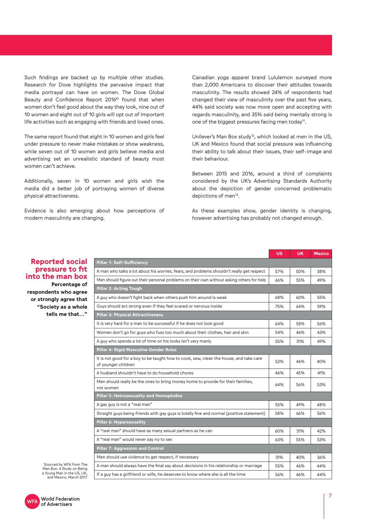Such findings are backed up by multiple other studies. Research for Dove highlights the pervasive impact that media portrayal can have on women. The Dove Global Beauty and Confidence Report 2016<sup>10</sup> found that when women don't feel good about the way they look, nine out of 10 women and eight out of 10 girls will opt out of important life activities such as engaging with friends and loved ones.

The same report found that eight in 10 women and girls feel under pressure to never make mistakes or show weakness, while seven out of 10 women and girls believe media and advertising set an unrealistic standard of beauty most women can't achieve.

Additionally, seven in 10 women and girls wish the media did a better job of portraying women of diverse physical attractiveness.

Evidence is also emerging about how perceptions of modern masculinity are changing.

Canadian yoga apparel brand Lululemon surveyed more than 2,000 Americans to discover their attitudes towards masculinity. The results showed 24% of respondents had changed their view of masculinity over the past five years, 44% said society was now more open and accepting with regards masculinity, and 35% said being mentally strong is one of the biggest pressures facing men today<sup>11</sup>.

Unilever's Man Box study<sup>12</sup>, which looked at men in the US, UK and Mexico found that social pressure was influencing their ability to talk about their issues, their self-image and their behaviour.

Between 2015 and 2016, around a third of complaints considered by the UK's Advertising Standards Authority about the depiction of gender concerned problematic depictions of men<sup>13</sup>.

As these examples show, gender identity is changing, however advertising has probably not changed enough.

| <b>Reported social</b> |  |
|------------------------|--|
| pressure to fit        |  |
| into the man box       |  |
| Percentage of          |  |
| respondents who agree  |  |
| or strongly agree that |  |
| "Society as a whole    |  |
| tells me that"         |  |

|                                                                                                               | <b>US</b> | <b>UK</b> | <b>Mexico</b> |
|---------------------------------------------------------------------------------------------------------------|-----------|-----------|---------------|
| Pillar 1: Self-Sufficiency                                                                                    |           |           |               |
| A man who talks a lot about his worries, fears, and problems shouldn't really get respect                     | 57%       | 50%       | 38%           |
| Men should figure out their personal problems on their own without asking others for help                     | 66%       | 55%       | 49%           |
| <b>Pillar 2: Acting Tough</b>                                                                                 |           |           |               |
| A guy who doesn't fight back when others push him around is weak                                              | 68%       | 60%       | 55%           |
| Guys should act strong even if they feel scared or nervous inside                                             | 75%       | 64%       | 59%           |
| <b>Pillar 3: Physical Attractiveness</b>                                                                      |           |           |               |
| It is very hard for a man to be successful if he does not look good                                           | 64%       | 58%       | 56%           |
| Women don't go for guys who fuss too much about their clothes, hair and skin                                  | 54%       | 46%       | 43%           |
| A guy who spends a lot of time on his looks isn't very manly                                                  | 55%       | 51%       | 49%           |
| Pillar 4: Rigid Masculine Gender Roles                                                                        |           |           |               |
| It is not good for a boy to be taught how to cook, sew, clean the house, and take care<br>of younger children | 52%       | 46%       | 40%           |
| A husband shouldn't have to do household chores                                                               | 46%       | 45%       | 41%           |
| Men should really be the ones to bring money home to provide for their families,<br>not women                 | 64%       | 56%       | 53%           |
| Pillar 5: Hetrosexuality and Homophobia                                                                       |           |           |               |
| A gay guy is not a "real man"                                                                                 | 55%       | 49%       | 48%           |
| Straight guys being friends with gay guys is totally fine and normal (positive statement)                     | 58%       | 66%       | 56%           |
| <b>Pillar 6: Hypersexuality</b>                                                                               |           |           |               |
| A "real man" should have as many sexual partners as he can                                                    | 60%       | 51%       | 42%           |
| A "real man" would never say no to sex                                                                        | 63%       | 55%       | 53%           |
| <b>Pillar 7: Aggression and Control</b>                                                                       |           |           |               |
| Men should use violence to get respect, if necessary                                                          | 51%       | 40%       | 36%           |
| A man should always have the final say about decisions in his relationship or marriage                        | 55%       | 46%       | 44%           |
| If a guy has a girlfriend or wife, he deserves to know where she is all the time                              | 56%       | 46%       | 44%           |

Sourced by WFA from The Man Box: A Study on Being a Young Man in the US, UK, and Mexico, March 2017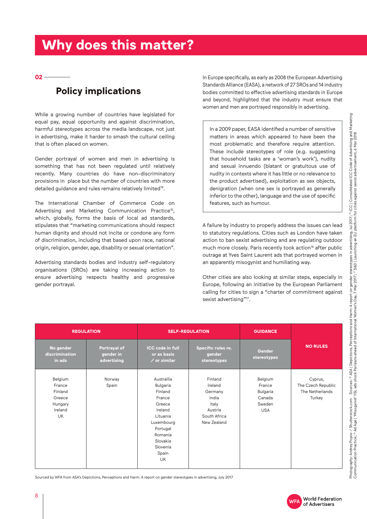## **Why does this matter?**

**02** 

### **Policy implications**

While a growing number of countries have legislated for equal pay, equal opportunity and against discrimination, harmful stereotypes across the media landscape, not just in advertising, make it harder to smash the cultural ceiling that is often placed on women.

Gender portrayal of women and men in advertising is something that has not been regulated until relatively recently. Many countries do have non-discriminatory provisions in place but the number of countries with more detailed guidance and rules remains relatively limited<sup>14</sup>.

The International Chamber of Commerce Code on Advertising and Marketing Communication Practice<sup>15</sup>, which, globally, forms the basis of local ad standards, stipulates that "marketing communications should respect human dignity and should not incite or condone any form of discrimination, including that based upon race, national origin, religion, gender, age, disability or sexual orientation".

Advertising standards bodies and industry self-regulatory organisations (SROs) are taking increasing action to ensure advertising respects healthy and progressive gender portrayal.

In Europe specifically, as early as 2008 the European Advertising Standards Alliance (EASA), a network of 27 SROs and 14 industry bodies committed to effective advertising standards in Europe and beyond, highlighted that the industry must ensure that women and men are portrayed responsibly in advertising.

In a 2009 paper, EASA identified a number of sensitive matters in areas which appeared to have been the most problematic and therefore require attention. These include stereotypes of role (e.g. suggesting that household tasks are a 'woman's work'), nudity and sexual innuendo (blatant or gratuitous use of nudity in contexts where it has little or no relevance to the product advertised), exploitation as sex objects, denigration (when one sex is portrayed as generally inferior to the other), language and the use of specific features, such as humour.

A failure by industry to properly address the issues can lead to statutory regulations. Cities such as London have taken action to ban sexist advertising and are regulating outdoor much more closely. Paris recently took action<sup>16</sup> after public outrage at Yves Saint Laurent ads that portrayed women in an apparently misogynist and humiliating way.

Other cities are also looking at similar steps, especially in Europe, following an initiative by the European Parliament calling for cities to sign a "charter of commitment against sexist advertising"<sup>17</sup>.

| <b>REGULATION</b>                                                         |                                          | <b>SELF-REGULATION</b>                                                                                                                                   |                                                                                           | <b>GUIDANCE</b>                                                        |                                                            |  |
|---------------------------------------------------------------------------|------------------------------------------|----------------------------------------------------------------------------------------------------------------------------------------------------------|-------------------------------------------------------------------------------------------|------------------------------------------------------------------------|------------------------------------------------------------|--|
| No gender<br>discrimination<br>in ads                                     | Portrayal of<br>gender in<br>advertising | <b>ICC code in full</b><br>or as basis<br>$\angle$ or similar                                                                                            | Specific rules re.<br>gender<br>stereotypes                                               | Gender<br>stereotypes                                                  | <b>NO RULES</b>                                            |  |
| Belgium<br>France<br>Finland<br>Greece<br>Hungary<br>Ireland<br><b>UK</b> | Norway<br>Spain                          | Austrailia<br>Bulgaria<br>Finland<br>France<br>Greece<br>Ireland<br>Lituania<br>Luxembourg<br>Portugal<br>Romania<br>Slovakia<br>Slovenia<br>Spain<br>UK | Finland<br>Ireland<br>Germany<br>India<br>Italy<br>Austria<br>South Africa<br>New Zealand | Belgium<br>France<br><b>Bulgaria</b><br>Canada<br>Sweden<br><b>USA</b> | Cyprus,<br>The Czech Republic<br>The Netherlands<br>Turkey |  |

Sourced by WFA from ASA's Depictions, Perceptions and Harm: A report on gender stereotypes in advertising, July 2017

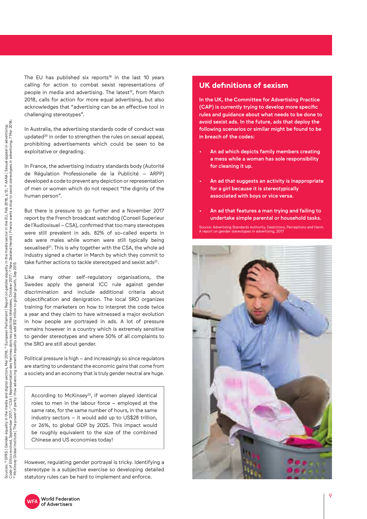The EU has published six reports<sup>18</sup> in the last 10 years calling for action to combat sexist representations of people in media and advertising. The latest<sup>19</sup>, from March 2018, calls for action for more equal advertising, but also acknowledges that "advertising can be an effective tool in challenging stereotypes".

In Australia, the advertising standards code of conduct was updated<sup>20</sup> in order to strengthen the rules on sexual appeal, prohibiting advertisements which could be seen to be exploitative or degrading.

In France, the advertising industry standards body (Autorité de Régulation Professionelle de la Publicité – ARPP) developed a code to prevent any depiction or representation of men or women which do not respect "the dignity of the human person".

But there is pressure to go further and a November 2017 report by the French broadcast watchdog (Conseil Superieur de l'Audiovisuel – CSA), confirmed that too many stereotypes were still prevalent in ads. 82% of so-called experts in ads were males while women were still typically being sexualised<sup>21</sup>. This is why together with the CSA, the whole ad industry signed a charter in March by which they commit to take further actions to tackle stereotyped and sexist ads<sup>22</sup>.

Like many other self-regulatory organisations, the Swedes apply the general ICC rule against gender discrimination and include additional criteria about objectification and denigration. The local SRO organizes training for marketers on how to interpret the code twice a year and they claim to have witnessed a major evolution in how people are portrayed in ads. A lot of pressure remains however in a country which is extremely sensitive to gender stereotypes and where 50% of all complaints to the SRO are still about gender.

Political pressure is high – and increasingly so since regulators are starting to understand the economic gains that come from a society and an economy that is truly gender neutral are huge.

According to McKinsey<sup>23</sup>, if women played identical roles to men in the labour force – employed at the same rate, for the same number of hours, in the same industry sectors – it would add up to US\$28 trillion, or 26%, to global GDP by 2025. This impact would be roughly equivalent to the size of the combined Chinese and US economies today!

However, regulating gender portrayal is tricky. Identifying a stereotype is a subjective exercise so developing detailed statutory rules can be hard to implement and enforce.

#### **UK definitions of sexism**

In the UK, the Committee for Advertising Practice (CAP) is currently trying to develop more specific rules and guidance about what needs to be done to avoid sexist ads. In the future, ads that deploy the following scenarios or similar might be found to be in breach of the codes:

- An ad which depicts family members creating a mess while a woman has sole responsibility for cleaning it up.
- An ad that suggests an activity is inappropriate for a girl because it is stereotypically associated with boys or vice versa.
- An ad that features a man trying and failing to undertake simple parental or household tasks.

Source: Advertising Standards Authority, Depictions, Perceptions and Harm. A report on gender stereotypes in advertising, 2017



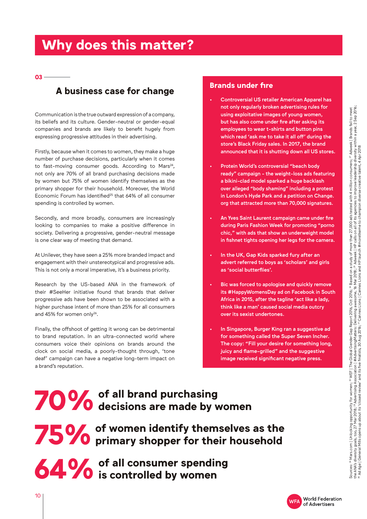## **Why does this matter?**

**03** 

## **A business case for change Brands under fire**

Communication is the true outward expression of a company, its beliefs and its culture. Gender-neutral or gender-equal companies and brands are likely to benefit hugely from expressing progressive attitudes in their advertising.

Firstly, because when it comes to women, they make a huge number of purchase decisions, particularly when it comes to fast-moving consumer goods. According to Mars<sup>24</sup>, not only are 70% of all brand purchasing decisions made by women but 75% of women identify themselves as the primary shopper for their household. Moreover, the World Economic Forum has identified<sup>25</sup> that 64% of all consumer spending is controlled by women.

Secondly, and more broadly, consumers are increasingly looking to companies to make a positive difference in society. Delivering a progressive, gender-neutral message is one clear way of meeting that demand.

At Unilever, they have seen a 25% more branded impact and engagement with their unstereotypical and progressive ads. This is not only a moral imperative, it's a business priority.

Research by the US-based ANA in the framework of their #SeeHer initiative found that brands that deliver progressive ads have been shown to be associated with a higher purchase intent of more than 25% for all consumers and 45% for women only<sup>26</sup>.

Finally, the offshoot of getting it wrong can be detrimental to brand reputation. In an ultra-connected world where consumers voice their opinions on brands around the clock on social media, a poorly-thought through, 'tone deaf' campaign can have a negative long-term impact on a brand's reputation.

- Controversial US retailer American Apparel has not only regularly broken advertising rules for using exploitative images of young women, but has also come under fire after asking its employees to wear t-shirts and button pins which read 'ask me to take it all off' during the store's Black Friday sales. In 2017, the brand announced that it is shutting down all US stores.
- Protein World's controversial "beach body ready" campaign - the weight-loss ads featuring a bikini-clad model sparked a huge backlash over alleged "body shaming" including a protest in London's Hyde Park and a petition on Change. org that attracted more than 70,000 signatures.
- An Yves Saint Laurent campaign came under fire during Paris Fashion Week for promoting "porno chic," with ads that show an underweight model in fishnet tights opening her legs for the camera.
- In the UK, Gap Kids sparked fury after an advert referred to boys as 'scholars' and girls as 'social butterflies'.
- Bic was forced to apologise and quickly remove its #HappyWomensDay ad on Facebook in South Africa in 2015, after the tagline 'act like a lady, think like a man' caused social media outcry over its sexist undertones.
- In Singapore, Burger King ran a suggestive ad for something called the Super Seven Incher. The copy: "Fill your desire for something long, juicy and flame-grilled" and the suggestive image received significant negative press.

## **70% of all brand purchasing**<br>**70% decisions are made by decisions are made by women**

**75% of women identify themselves as the**<br>**75% of primary shopper for their household primary shopper for their household**

**64%** of all consumer spending<br>**64%** is controlled by women **is controlled by women**

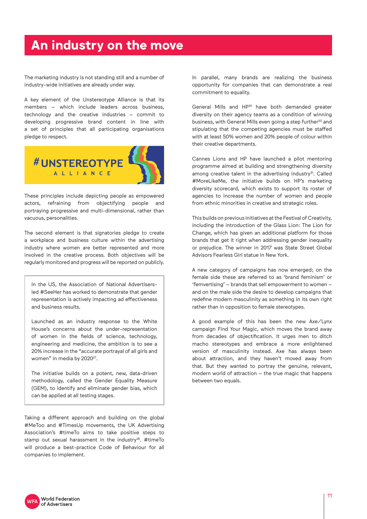### **An industry on the move**

The marketing industry is not standing still and a number of industry-wide initiatives are already under way.

A key element of the Unstereotype Alliance is that its members – which include leaders across business, technology and the creative industries – commit to developing progressive brand content in line with a set of principles that all participating organisations pledge to respect.



These principles include depicting people as empowered actors, refraining from objectifying people and portraying progressive and multi-dimensional, rather than vacuous, personalities.

The second element is that signatories pledge to create a workplace and business culture within the advertising industry where women are better represented and more involved in the creative process. Both objectives will be regularly monitored and progress will be reported on publicly.

In the US, the Association of National Advertisersled #SeeHer has worked to demonstrate that gender representation is actively impacting ad effectiveness and business results.

Launched as an industry response to the White House's concerns about the under-representation of women in the fields of science, technology, engineering and medicine, the ambition is to see a 20% increase in the "accurate portrayal of all girls and women" in media by 2020<sup>27</sup>.

The initiative builds on a potent, new, data-driven methodology, called the Gender Equality Measure (GEM), to identify and eliminate gender bias, which can be applied at all testing stages.

Taking a different approach and building on the global #MeToo and #TimesUp movements, the UK Advertising Association's #timeTo aims to take positive steps to stamp out sexual harassment in the industry<sup>28</sup>. #timeTo will produce a best-practice Code of Behaviour for all companies to implement.

In parallel, many brands are realizing the business opportunity for companies that can demonstrate a real commitment to equality.

General Mills and HP<sup>29</sup> have both demanded greater diversity on their agency teams as a condition of winning business, with General Mills even going a step further<sup>30</sup> and stipulating that the competing agencies must be staffed with at least 50% women and 20% people of colour within their creative departments.

Cannes Lions and HP have launched a pilot mentoring programme aimed at building and strengthening diversity among creative talent in the advertising industry $31$ . Called #MoreLikeMe, the initiative builds on HP's marketing diversity scorecard, which exists to support its roster of agencies to increase the number of women and people from ethnic minorities in creative and strategic roles.

This builds on previous initiatives at the Festival of Creativity, including the introduction of the Glass Lion: The Lion for Change, which has given an additional platform for those brands that get it right when addressing gender inequality or prejudice. The winner in 2017 was State Street Global Advisors Fearless Girl statue in New York.

A new category of campaigns has now emerged; on the female side these are referred to as 'brand feminism' or 'femvertising' – brands that sell empowerment to women – and on the male side the desire to develop campaigns that redefine modern masculinity as something in its own right rather than in opposition to female stereotypes.

A good example of this has been the new Axe/Lynx campaign Find Your Magic, which moves the brand away from decades of objectification. It urges men to ditch macho stereotypes and embrace a more enlightened version of masculinity instead. Axe has always been about attraction, and they haven't moved away from that. But they wanted to portray the genuine, relevant, modern world of attraction – the true magic that happens between two equals.

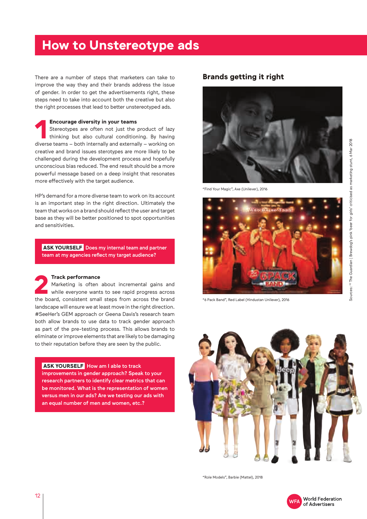### **How to Unstereotype ads**

There are a number of steps that marketers can take to improve the way they and their brands address the issue of gender. In order to get the advertisements right, these steps need to take into account both the creative but also the right processes that lead to better unstereotyped ads.

#### **Encourage diversity in your teams**

**11** Stereotypes are often not just the product of lazy<br>thinking but also cultural conditioning. By having<br>diverse teams – both internally and externally – working on Stereotypes are often not just the product of lazy thinking but also cultural conditioning. By having creative and brand issues sterotypes are more likely to be challenged during the development process and hopefully unconscious bias reduced. The end result should be a more powerful message based on a deep insight that resonates more effectively with the target audience.

HP's demand for a more diverse team to work on its account is an important step in the right direction. Ultimately the team that works on a brand should reflect the user and target base as they will be better positioned to spot opportunities and sensitivities.

**ASK YOURSELF** Does my internal team and partner team at my agencies reflect my target audience?

**22 Irack performance**<br>
Marketing is often about incremental gains and<br>
while everyone wants to see rapid progress across<br>
the board, consistent small steps from across the brand Marketing is often about incremental gains and while everyone wants to see rapid progress across landscape will ensure we at least move in the right direction. #SeeHer's GEM approach or Geena Davis's research team both allow brands to use data to track gender approach as part of the pre-testing process. This allows brands to eliminate or improve elements that are likely to be damaging to their reputation before they are seen by the public.

#### **ASK YOURSELF** How am I able to track

improvements in gender approach? Speak to your research partners to identify clear metrics that can be monitored. What is the representation of women versus men in our ads? Are we testing our ads with an equal number of men and women, etc.?

#### **Brands getting it right**



"Find Your Magic", Axe (Unilever), 2016



"6 Pack Band", Red Label (Hindustan Unilever), 2016



"Role Models", Barbie (Mattel), 2018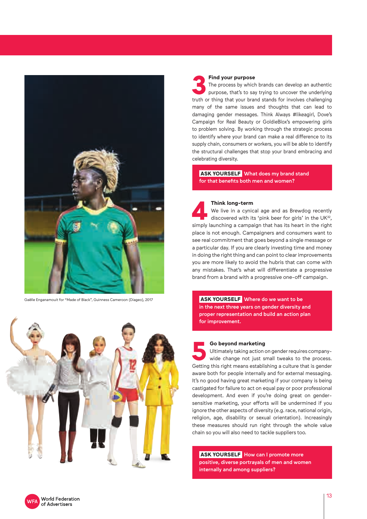

Gaëlle Enganamouit for "Made of Black", Guinness Cameroon (Diageo), 2017



**3 Find your purpose**<br>
The process by which brands can develop an authentic<br>
purpose, that's to say trying to uncover the underlying<br>
truth or thing that your brand stands for involves challenging The process by which brands can develop an authentic purpose, that's to say trying to uncover the underlying many of the same issues and thoughts that can lead to damaging gender messages. Think Always #likeagirl, Dove's Campaign for Real Beauty or GoldieBlox's empowering girls to problem solving. By working through the strategic process to identify where your brand can make a real difference to its supply chain, consumers or workers, you will be able to identify the structural challenges that stop your brand embracing and celebrating diversity.

 **ASK YOURSELF** What does my brand stand for that benefits both men and women?

**4 Think long-term**<br>We live in a cynical age and as Brewdog recently<br>discovered with its 'pink beer for girls' in the UK<sup>32</sup>,<br>simply launching a campaign that has its heart in the right We live in a cynical age and as Brewdog recently discovered with its 'pink beer for girls' in the UK<sup>32</sup>, place is not enough. Campaigners and consumers want to see real commitment that goes beyond a single message or a particular day. If you are clearly investing time and money in doing the right thing and can point to clear improvements you are more likely to avoid the hubris that can come with any mistakes. That's what will differentiate a progressive brand from a brand with a progressive one-off campaign.

 **ASK YOURSELF** Where do we want to be in the next three years on gender diversity and proper representation and build an action plan for improvement.

**5 Go beyond marketing**<br>
Ultimately taking action on gender requires company-<br>
wide change not just small tweaks to the process.<br>
Getting this right means establishing a culture that is gender Ultimately taking action on gender requires companywide change not just small tweaks to the process. aware both for people internally and for external messaging. It's no good having great marketing if your company is being castigated for failure to act on equal pay or poor professional development. And even if you're doing great on gendersensitive marketing, your efforts will be undermined if you ignore the other aspects of diversity (e.g. race, national origin, religion, age, disability or sexual orientation). Increasingly these measures should run right through the whole value chain so you will also need to tackle suppliers too.

**ASK YOURSELF** How can I promote more positive, diverse portrayals of men and women internally and among suppliers?

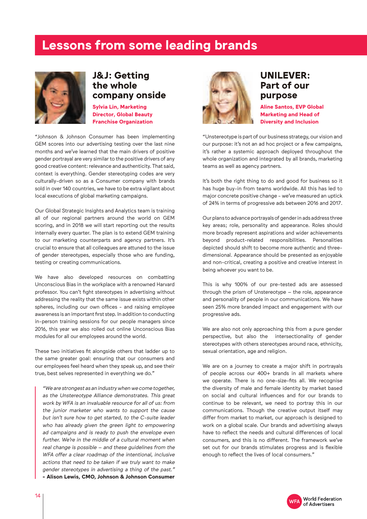### **Lessons from some leading brands**



### **J&J: Getting the whole company onside**

**Sylvia Lin, Marketing Director, Global Beauty Franchise Organization**

"Johnson & Johnson Consumer has been implementing GEM scores into our advertising testing over the last nine months and we've learned that the main drivers of positive gender portrayal are very similar to the positive drivers of any good creative content: relevance and authenticity. That said, context is everything. Gender stereotyping codes are very culturally-driven so as a Consumer company with brands sold in over 140 countries, we have to be extra vigilant about local executions of global marketing campaigns.

Our Global Strategic Insights and Analytics team is training all of our regional partners around the world on GEM scoring, and in 2018 we will start reporting out the results internally every quarter. The plan is to extend GEM training to our marketing counterparts and agency partners. It's crucial to ensure that all colleagues are attuned to the issue of gender stereotypes, especially those who are funding, testing or creating communications.

We have also developed resources on combatting Unconscious Bias in the workplace with a renowned Harvard professor. You can't fight stereotypes in advertising without addressing the reality that the same issue exists within other spheres, including our own offices - and raising employee awareness is an important first step. In addition to conducting in-person training sessions for our people managers since 2016, this year we also rolled out online Unconscious Bias modules for all our employees around the world.

These two initiatives fit alongside others that ladder up to the same greater goal: ensuring that our consumers and our employees feel heard when they speak up, and see their true, best selves represented in everything we do."

"We are strongest as an industry when we come together, as the Unstereotype Alliance demonstrates. This great work by WFA is an invaluable resource for all of us: from the junior marketer who wants to support the cause but isn't sure how to get started, to the C-suite leader who has already given the green light to empowering ad campaigns and is ready to push the envelope even further. We're in the middle of a cultural moment when real change is possible – and these guidelines from the WFA offer a clear roadmap of the intentional, inclusive actions that need to be taken if we truly want to make gender stereotypes in advertising a thing of the past." **- Alison Lewis, CMO, Johnson & Johnson Consumer** 



### **UNILEVER: Part of our purpose**

**Aline Santos, EVP Global Marketing and Head of Diversity and Inclusion**

"Unstereotype is part of our business strategy, our vision and our purpose: it's not an ad hoc project or a few campaigns, it's rather a systemic approach deployed throughout the whole organization and integrated by all brands, marketing teams as well as agency partners.

It's both the right thing to do and good for business so it has huge buy-in from teams worldwide. All this has led to major concrete positive change - we've measured an uptick of 24% in terms of progressive ads between 2016 and 2017.

Our plans to advance portrayals of gender in ads address three key areas; role, personality and appearance. Roles should more broadly represent aspirations and wider achievements beyond product-related responsibilities. Personalities depicted should shift to become more authentic and threedimensional. Appearance should be presented as enjoyable and non-critical, creating a positive and creative interest in being whoever you want to be.

This is why 100% of our pre-tested ads are assessed through the prism of Unstereotype – the role, appearance and personality of people in our communications. We have seen 25% more branded impact and engagement with our progressive ads.

We are also not only approaching this from a pure gender perspective, but also the intersectionality of gender stereotypes with others stereotypes around race, ethnicity, sexual orientation, age and religion.

We are on a journey to create a major shift in portrayals of people across our 400+ brands in all markets where we operate. There is no one-size-fits all. We recognise the diversity of male and female identity by market based on social and cultural influences and for our brands to continue to be relevant, we need to portray this in our communications. Though the creative output itself may differ from market to market, our approach is designed to work on a global scale. Our brands and advertising always have to reflect the needs and cultural differences of local consumers, and this is no different. The framework we've set out for our brands stimulates progress and is flexible enough to reflect the lives of local consumers."

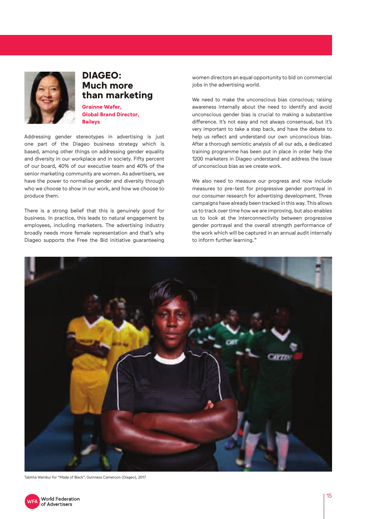

### **DIAGEO: Much more than marketing**

**Grainne Wafer, Global Brand Director, Baileys** 

Addressing gender stereotypes in advertising is just one part of the Diageo business strategy which is based, among other things on addressing gender equality and diversity in our workplace and in society. Fifty percent of our board, 40% of our executive team and 40% of the senior marketing community are women. As advertisers, we have the power to normalise gender and diversity through who we choose to show in our work, and how we choose to produce them.

There is a strong belief that this is genuinely good for business. In practice, this leads to natural engagement by employees, including marketers. The advertising industry broadly needs more female representation and that's why Diageo supports the Free the Bid initiative guaranteeing

women directors an equal opportunity to bid on commercial jobs in the advertising world.

We need to make the unconscious bias conscious; raising awareness internally about the need to identify and avoid unconscious gender bias is crucial to making a substantive difference. It's not easy and not always consensual, but it's very important to take a step back, and have the debate to help us reflect and understand our own unconscious bias. After a thorough semiotic analysis of all our ads, a dedicated training programme has been put in place in order help the 1200 marketers in Diageo understand and address the issue of unconscious bias as we create work.

We also need to measure our progress and now include measures to pre-test for progressive gender portrayal in our consumer research for advertising development. Three campaigns have already been tracked in this way. This allows us to track over time how we are improving, but also enables us to look at the interconnectivity between progressive gender portrayal and the overall strength performance of the work which will be captured in an annual audit internally to inform further learning."



Tabitha Wambui for "Made of Black", Guinness Cameroon (Diageo), 2017

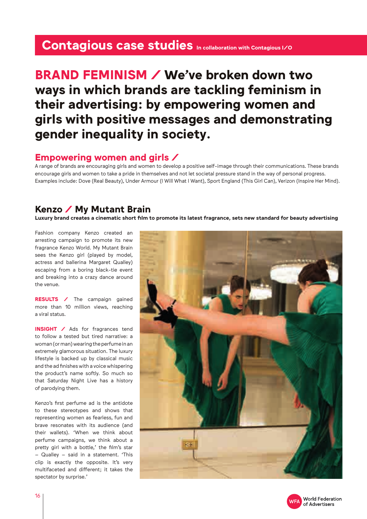### Contagious case studies In collaboration with Contagious I/O

### **BRAND FEMINISM / We've broken down two ways in which brands are tackling feminism in their advertising: by empowering women and girls with positive messages and demonstrating gender inequality in society.**

### **Empowering women and girls /**

A range of brands are encouraging girls and women to develop a positive self-image through their communications. These brands encourage girls and women to take a pride in themselves and not let societal pressure stand in the way of personal progress. Examples include: Dove (Real Beauty), Under Armour (I Will What I Want), Sport England (This Girl Can), Verizon (Inspire Her Mind).

### **Kenzo / My Mutant Brain**

**Luxury brand creates a cinematic short film to promote its latest fragrance, sets new standard for beauty advertising**

Fashion company Kenzo created an arresting campaign to promote its new fragrance Kenzo World. My Mutant Brain sees the Kenzo girl (played by model, actress and ballerina Margaret Qualley) escaping from a boring black-tie event and breaking into a crazy dance around the venue.

**RESULTS /** The campaign gained more than 10 million views, reaching a viral status.

**INSIGHT /** Ads for fragrances tend to follow a tested but tired narrative: a woman (or man) wearing the perfume in an extremely glamorous situation. The luxury lifestyle is backed up by classical music and the ad finishes with a voice whispering the product's name softly. So much so that Saturday Night Live has a history of parodying them.

Kenzo's first perfume ad is the antidote to these stereotypes and shows that representing women as fearless, fun and brave resonates with its audience (and their wallets). 'When we think about perfume campaigns, we think about a pretty girl with a bottle,' the film's star – Qualley – said in a statement. 'This clip is exactly the opposite. It's very multifaceted and different; it takes the spectator by surprise.'



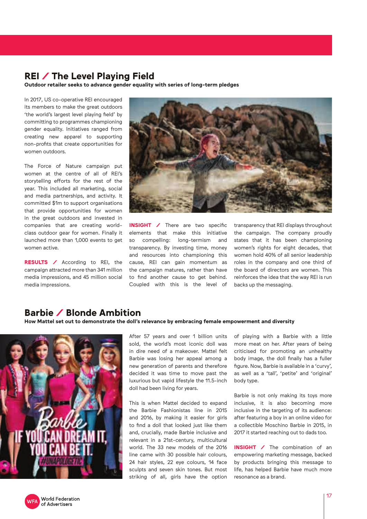### **REI / The Level Playing Field**

**Outdoor retailer seeks to advance gender equality with series of long-term pledges**

In 2017, US co-operative REI encouraged its members to make the great outdoors 'the world's largest level playing field' by committing to programmes championing gender equality. Initiatives ranged from creating new apparel to supporting non-profits that create opportunities for women outdoors.

The Force of Nature campaign put women at the centre of all of REI's storytelling efforts for the rest of the year. This included all marketing, social and media partnerships, and activity. It committed \$1m to support organisations that provide opportunities for women in the great outdoors and invested in companies that are creating worldclass outdoor gear for women. Finally it launched more than 1,000 events to get women active.

**RESULTS /** According to REI, the campaign attracted more than 341 million media impressions, and 45 million social media impressions.



**INSIGHT /** There are two specific elements that make this initiative so compelling: long-termism and transparency. By investing time, money and resources into championing this cause, REI can gain momentum as the campaign matures, rather than have to find another cause to get behind. Coupled with this is the level of transparency that REI displays throughout the campaign. The company proudly states that it has been championing women's rights for eight decades, that women hold 40% of all senior leadership roles in the company and one third of the board of directors are women. This reinforces the idea that the way REI is run backs up the messaging.

### **Barbie / Blonde Ambition**

#### **How Mattel set out to demonstrate the doll's relevance by embracing female empowerment and diversity**



After 57 years and over 1 billion units sold, the world's most iconic doll was in dire need of a makeover. Mattel felt Barbie was losing her appeal among a new generation of parents and therefore decided it was time to move past the luxurious but vapid lifestyle the 11.5-inch doll had been living for years.

This is when Mattel decided to expand the Barbie Fashionistas line in 2015 and 2016, by making it easier for girls to find a doll that looked just like them and, crucially, made Barbie inclusive and relevant in a 21st-century, multicultural world. The 33 new models of the 2016 line came with 30 possible hair colours, 24 hair styles, 22 eye colours, 14 face sculpts and seven skin tones. But most striking of all, girls have the option of playing with a Barbie with a little more meat on her. After years of being criticised for promoting an unhealthy body image, the doll finally has a fuller figure. Now, Barbie is available in a 'curvy', as well as a 'tall', 'petite' and 'original' body type.

Barbie is not only making its toys more inclusive, it is also becoming more inclusive in the targeting of its audience: after featuring a boy in an online video for a collectible Moschino Barbie in 2015, in 2017 it started reaching out to dads too.

**INSIGHT /** The combination of an empowering marketing message, backed by products bringing this message to life, has helped Barbie have much more resonance as a brand.

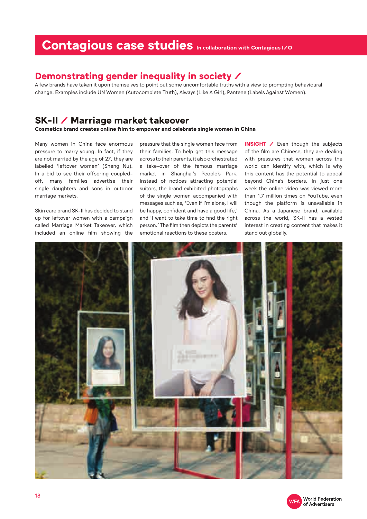### Contagious case studies In collaboration with Contagious I/O

### **Demonstrating gender inequality in society /**

A few brands have taken it upon themselves to point out some uncomfortable truths with a view to prompting behavioural change. Examples include UN Women (Autocomplete Truth), Always (Like A Girl), Pantene (Labels Against Women).

### **SK-II / Marriage market takeover**

**Cosmetics brand creates online film to empower and celebrate single women in China**

Many women in China face enormous pressure to marry young. In fact, if they are not married by the age of 27, they are labelled 'leftover women' (Sheng Nu). In a bid to see their offspring coupledoff, many families advertise their single daughters and sons in outdoor marriage markets.

Skin care brand SK-II has decided to stand up for leftover women with a campaign called Marriage Market Takeover, which included an online film showing the

pressure that the single women face from their families. To help get this message across to their parents, it also orchestrated a take-over of the famous marriage market in Shanghai's People's Park. Instead of notices attracting potential suitors, the brand exhibited photographs of the single women accompanied with messages such as, 'Even if I'm alone, I will be happy, confident and have a good life,' and 'I want to take time to find the right person.' The film then depicts the parents' emotional reactions to these posters.

**INSIGHT /** Even though the subjects of the film are Chinese, they are dealing with pressures that women across the world can identify with, which is why this content has the potential to appeal beyond China's borders. In just one week the online video was viewed more than 1.7 million times on YouTube, even though the platform is unavailable in China. As a Japanese brand, available across the world, SK-II has a vested interest in creating content that makes it stand out globally.



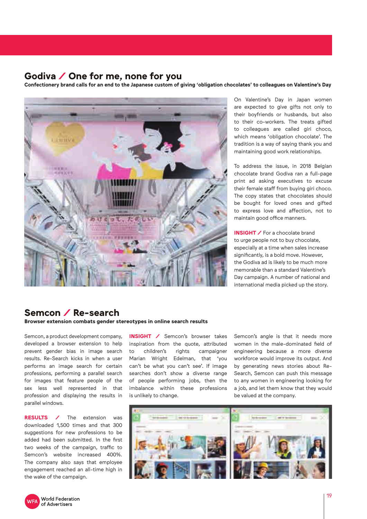### **Godiva / One for me, none for you**

**Confectionery brand calls for an end to the Japanese custom of giving 'obligation chocolates' to colleagues on Valentine's Day**



On Valentine's Day in Japan women are expected to give gifts not only to their boyfriends or husbands, but also to their co-workers. The treats gifted to colleagues are called giri choco, which means 'obligation chocolate'. The tradition is a way of saying thank you and maintaining good work relationships.

To address the issue, in 2018 Belgian chocolate brand Godiva ran a full-page print ad asking executives to excuse their female staff from buying giri choco. The copy states that chocolates should be bought for loved ones and gifted to express love and affection, not to maintain good office manners.

**INSIGHT** / For a chocolate brand to urge people not to buy chocolate, especially at a time when sales increase significantly, is a bold move. However, the Godiva ad is likely to be much more memorable than a standard Valentine's Day campaign. A number of national and international media picked up the story.

### **Semcon / Re-search**

**Browser extension combats gender stereotypes in online search results**

Semcon, a product development company, developed a browser extension to help prevent gender bias in image search results. Re-Search kicks in when a user performs an image search for certain professions, performing a parallel search for images that feature people of the sex less well represented in that profession and displaying the results in parallel windows.

**RESULTS /** The extension was downloaded 1,500 times and that 300 suggestions for new professions to be added had been submitted. In the first two weeks of the campaign, traffic to Semcon's website increased 400%. The company also says that employee engagement reached an all-time high in the wake of the campaign.

**INSIGHT /** Semcon's browser takes inspiration from the quote, attributed to children's rights campaigner Marian Wright Edelman, that 'you can't be what you can't see'. If image searches don't show a diverse range of people performing jobs, then the imbalance within these professions is unlikely to change.

Semcon's angle is that it needs more women in the male-dominated field of engineering because a more diverse workforce would improve its output. And by generating news stories about Re-Search, Semcon can push this message to any women in engineering looking for a job, and let them know that they would be valued at the company.



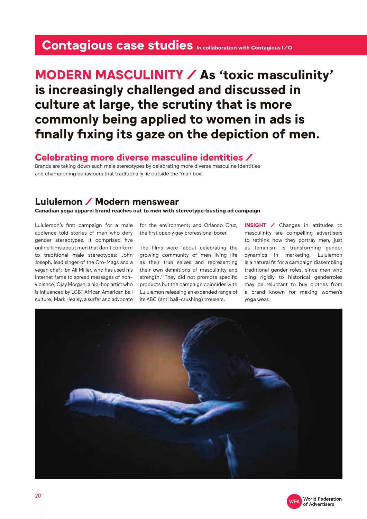### Contagious case studies In collaboration with Contagious I/O

### **MODERN MASCULINITY / As 'toxic masculinity' is increasingly challenged and discussed in culture at large, the scrutiny that is more commonly being applied to women in ads is finally fixing its gaze on the depiction of men.**

### **Celebrating more diverse masculine identities /**

Brands are taking down such male stereotypes by celebrating more diverse masculine identities and championing behaviours that traditionally lie outside the 'man box'.

### **Lululemon / Modern menswear**

**Canadian yoga apparel brand reaches out to men with stereotype-busting ad campaign**

Lululemon's first campaign for a male audience told stories of men who defy gender stereotypes. It comprised five online films about men that don't conform to traditional male stereotypes: John Joseph, lead singer of the Cro-Mags and a vegan chef; Ibn Ali Miller, who has used his internet fame to spread messages of nonviolence; Ojay Morgan, a hip-hop artist who is influenced by LGBT African American ball culture; Mark Healey, a surfer and advocate

for the environment; and Orlando Cruz, the first openly gay professional boxer.

The films were 'about celebrating the growing community of men living life as their true selves and representing their own definitions of masculinity and strength.' They did not promote specific products but the campaign coincides with Lululemon releasing an expanded range of its ABC (anti ball-crushing) trousers.

**INSIGHT /** Changes in attitudes to masculinity are compelling advertisers to rethink how they portray men, just as feminism is transforming gender dynamics in marketing. Lululemon is a natural fit for a campaign dissembling traditional gender roles, since men who cling rigidly to historical genderroles may be reluctant to buy clothes from a brand known for making women's yoga wear.



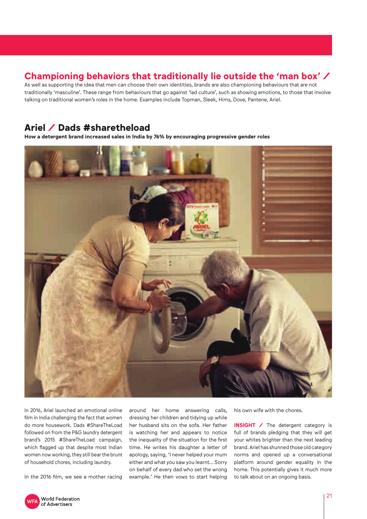### **Championing behaviors that traditionally lie outside the 'man box' /**

As well as supporting the idea that men can choose their own identities, brands are also championing behaviours that are not traditionally 'masculine'. These range from behaviours that go against 'lad culture', such as showing emotions, to those that involve talking on traditional women's roles in the home. Examples include Topman, Sleek, Hims, Dove, Pantene, Ariel.

### **Ariel / Dads #sharetheload**

**How a detergent brand increased sales in India by 76% by encouraging progressive gender roles** 



In 2016, Ariel launched an emotional online film in India challenging the fact that women do more housework. Dads #ShareTheLoad followed on from the P&G laundry detergent brand's 2015 #ShareTheLoad campaign, which flagged up that despite most Indian women now working, they still bear the brunt of household chores, including laundry.

In the 2016 film, we see a mother racing

around her home answering calls, dressing her children and tidying up while her husband sits on the sofa. Her father is watching her and appears to notice the inequality of the situation for the first time. He writes his daughter a letter of apology, saying, 'I never helped your mum either and what you saw you learnt… Sorry on behalf of every dad who set the wrong example.' He then vows to start helping his own wife with the chores.

**INSIGHT** / The detergent category is full of brands pledging that they will get your whites brighter than the next leading brand. Ariel has shunned those old category norms and opened up a conversational platform around gender equality in the home. This potentially gives it much more to talk about on an ongoing basis.

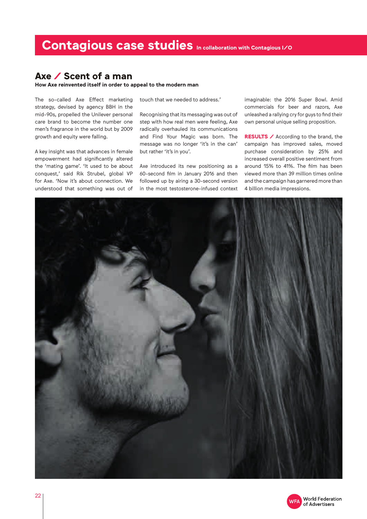### **Axe / Scent of a man**

**How Axe reinvented itself in order to appeal to the modern man**

The so-called Axe Effect marketing strategy, devised by agency BBH in the mid-90s, propelled the Unilever personal care brand to become the number one men's fragrance in the world but by 2009 growth and equity were falling.

A key insight was that advances in female empowerment had significantly altered the 'mating game'. 'It used to be about conquest,' said Rik Strubel, global VP for Axe. 'Now it's about connection. We understood that something was out of touch that we needed to address.'

Recognising that its messaging was out of step with how real men were feeling, Axe radically overhauled its communications and Find Your Magic was born. The message was no longer 'it's in the can' but rather 'it's in you'.

Axe introduced its new positioning as a 60-second film in January 2016 and then followed up by airing a 30-second version in the most testosterone-infused context imaginable: the 2016 Super Bowl. Amid commercials for beer and razors, Axe unleashed a rallying cry for guys to find their own personal unique selling proposition.

**RESULTS /** According to the brand, the campaign has improved sales, moved purchase consideration by 25% and increased overall positive sentiment from around 15% to 41%. The film has been viewed more than 39 million times online and the campaign has garnered more than 4 billion media impressions.



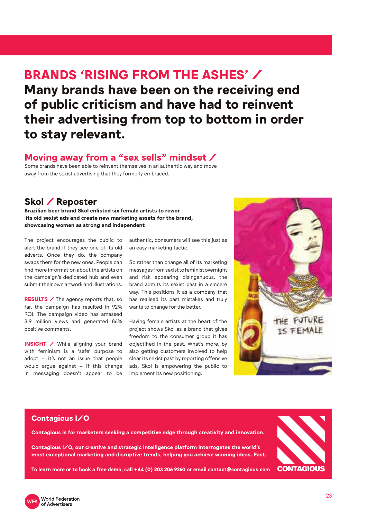### **BRANDS 'RISING FROM THE ASHES' / Many brands have been on the receiving end of public criticism and have had to reinvent their advertising from top to bottom in order to stay relevant.**

### **Moving away from a "sex sells" mindset /**

Some brands have been able to reinvent themselves in an authentic way and move away from the sexist advertising that they formerly embraced.

### **Skol / Reposter**

**Brazilian beer brand Skol enlisted six female artists to rewor its old sexist ads and create new marketing assets for the brand, showcasing women as strong and independent**

The project encourages the public to alert the brand if they see one of its old adverts. Once they do, the company swaps them for the new ones. People can find more information about the artists on the campaign's dedicated hub and even submit their own artwork and illustrations.

**RESULTS** / The agency reports that, so far, the campaign has resulted in 92% ROI. The campaign video has amassed 3.9 million views and generated 86% positive comments.

**INSIGHT** / While aligning your brand with feminism is a 'safe' purpose to adopt – it's not an issue that people would argue against – if this change in messaging doesn't appear to be

authentic, consumers will see this just as an easy marketing tactic.

So rather than change all of its marketing messages from sexist to feminist overnight and risk appearing disingenuous, the brand admits its sexist past in a sincere way. This positions it as a company that has realised its past mistakes and truly wants to change for the better.

Having female artists at the heart of the project shows Skol as a brand that gives freedom to the consumer group it has objectified in the past. What's more, by also getting customers involved to help clear its sexist past by reporting offensive ads, Skol is empowering the public to implement its new positioning.



#### **Contagious I/O**

**Contagious is for marketers seeking a competitive edge through creativity and innovation.**

**Contagious I/O, our creative and strategic intelligence platform interrogates the world's most exceptional marketing and disruptive trends, helping you achieve winning ideas. Fast.**



**To learn more or to book a free demo, call +44 (0) 203 206 9260 or email contact@contagious.com**